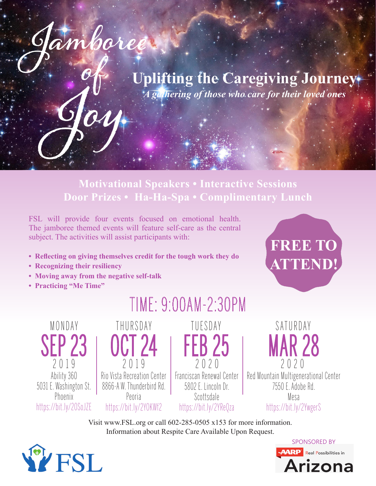

**Motivational Speakers • Interactive Sessions Door Prizes • Ha-Ha-Spa • Complimentary Lunch**

FSL will provide four events focused on emotional health. The jamboree themed events will feature self-care as the central subject. The activities will assist participants with:

- **Reflecting on giving themselves credit for the tough work they do**
- **Recognizing their resiliency**
- **Moving away from the negative self-talk**

**Jamboree** 

 $\int$ 

 **Joy**

**• Practicing "Me Time"**



MONDAY SEP 23 2 0 1 9 Ability 360 5031 E. Washington St. Phoenix https://bit.ly/2OSoJZE





MAR 28 2 0 2 0 Red Mountain Multigenerational Center 7550 E. Adobe Rd. Mesa https://bit.ly/2YwgerS

SATURDAY

Visit www.FSL.org or call 602-285-0505 x153 for more information. Information about Respite Care Available Upon Request.